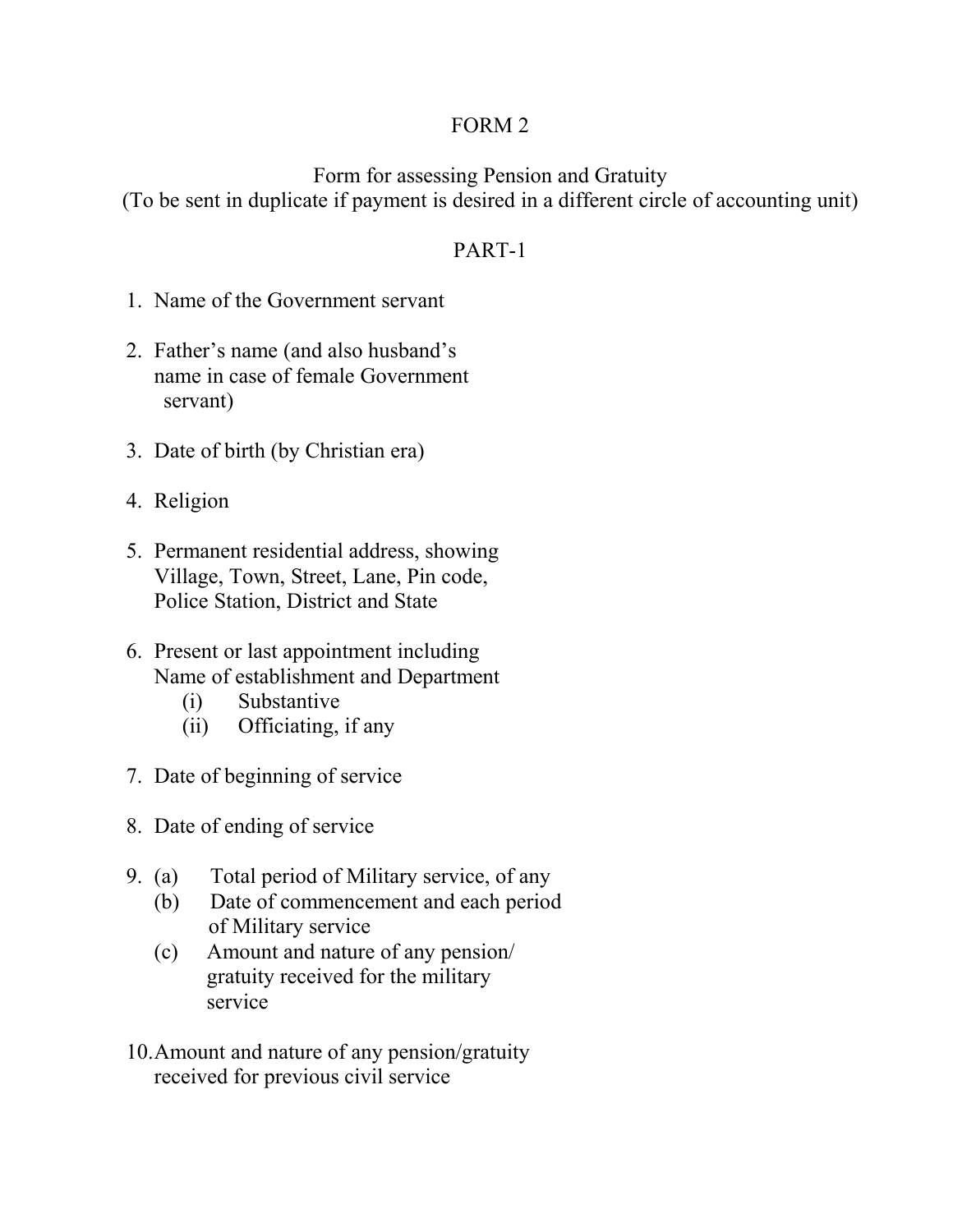## FORM 2

Form for assessing Pension and Gratuity (To be sent in duplicate if payment is desired in a different circle of accounting unit)

# PART-1

- 1. Name of the Government servant
- 2. Father's name (and also husband's name in case of female Government servant)
- 3. Date of birth (by Christian era)
- 4. Religion
- 5. Permanent residential address, showing Village, Town, Street, Lane, Pin code, Police Station, District and State
- 6. Present or last appointment including Name of establishment and Department
	- (i) Substantive
	- (ii) Officiating, if any
- 7. Date of beginning of service
- 8. Date of ending of service
- 9. (a) Total period of Military service, of any
	- (b) Date of commencement and each period of Military service
	- (c) Amount and nature of any pension/ gratuity received for the military service
- 10.Amount and nature of any pension/gratuity received for previous civil service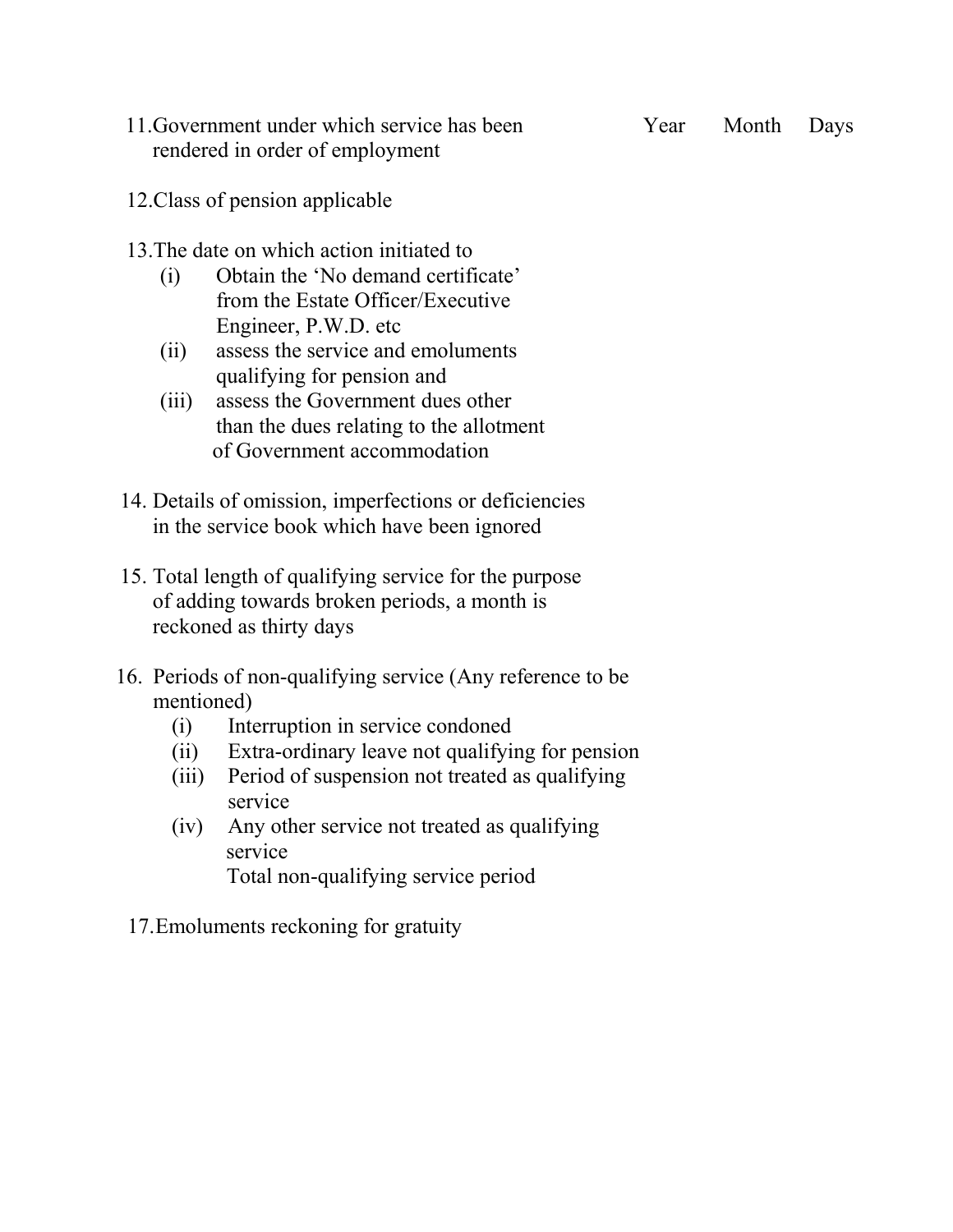11.Government under which service has been Year Month Days rendered in order of employment

- 12.Class of pension applicable
- 13.The date on which action initiated to
	- (i) Obtain the 'No demand certificate' from the Estate Officer/Executive Engineer, P.W.D. etc
	- (ii) assess the service and emoluments qualifying for pension and
	- (iii) assess the Government dues other than the dues relating to the allotment of Government accommodation
- 14. Details of omission, imperfections or deficiencies in the service book which have been ignored
- 15. Total length of qualifying service for the purpose of adding towards broken periods, a month is reckoned as thirty days
- 16. Periods of non-qualifying service (Any reference to be mentioned)
	- (i) Interruption in service condoned
	- (ii) Extra-ordinary leave not qualifying for pension
	- (iii) Period of suspension not treated as qualifying service
	- (iv) Any other service not treated as qualifying service Total non-qualifying service period
	- 17.Emoluments reckoning for gratuity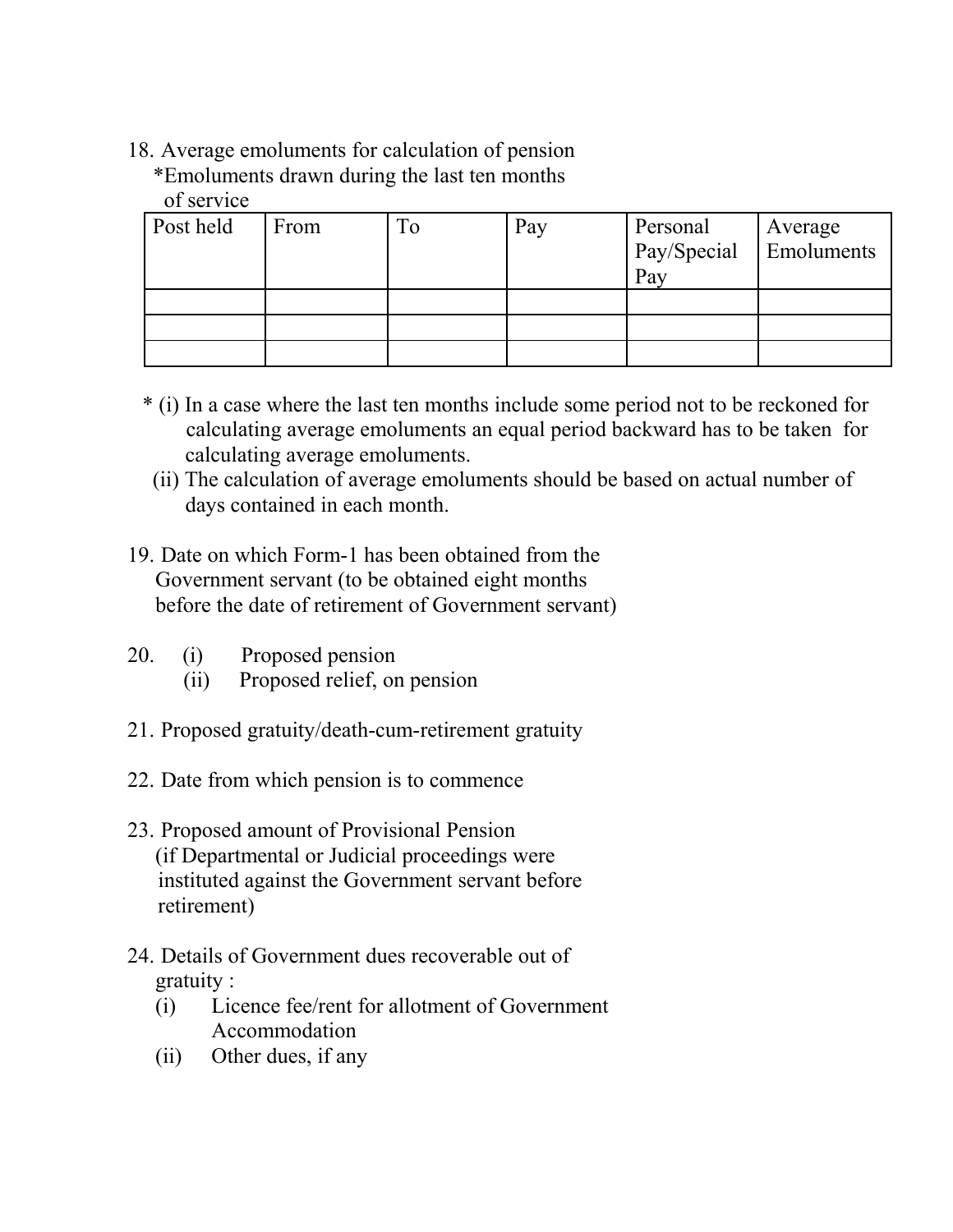18. Average emoluments for calculation of pension \*Emoluments drawn during the last ten months of service

| Post held | From | To | Pay | Personal<br>Pay/Special<br>Pay | Average<br>Emoluments |
|-----------|------|----|-----|--------------------------------|-----------------------|
|           |      |    |     |                                |                       |
|           |      |    |     |                                |                       |
|           |      |    |     |                                |                       |

- \* (i) In a case where the last ten months include some period not to be reckoned for calculating average emoluments an equal period backward has to be taken for calculating average emoluments.
- (ii) The calculation of average emoluments should be based on actual number of days contained in each month.
- 19. Date on which Form-1 has been obtained from the Government servant (to be obtained eight months before the date of retirement of Government servant)
- 20. (i) Proposed pension
	- (ii) Proposed relief, on pension
- 21. Proposed gratuity/death-cum-retirement gratuity
- 22. Date from which pension is to commence
- 23. Proposed amount of Provisional Pension (if Departmental or Judicial proceedings were instituted against the Government servant before retirement)
- 24. Details of Government dues recoverable out of gratuity :
	- (i) Licence fee/rent for allotment of Government Accommodation
	- (ii) Other dues, if any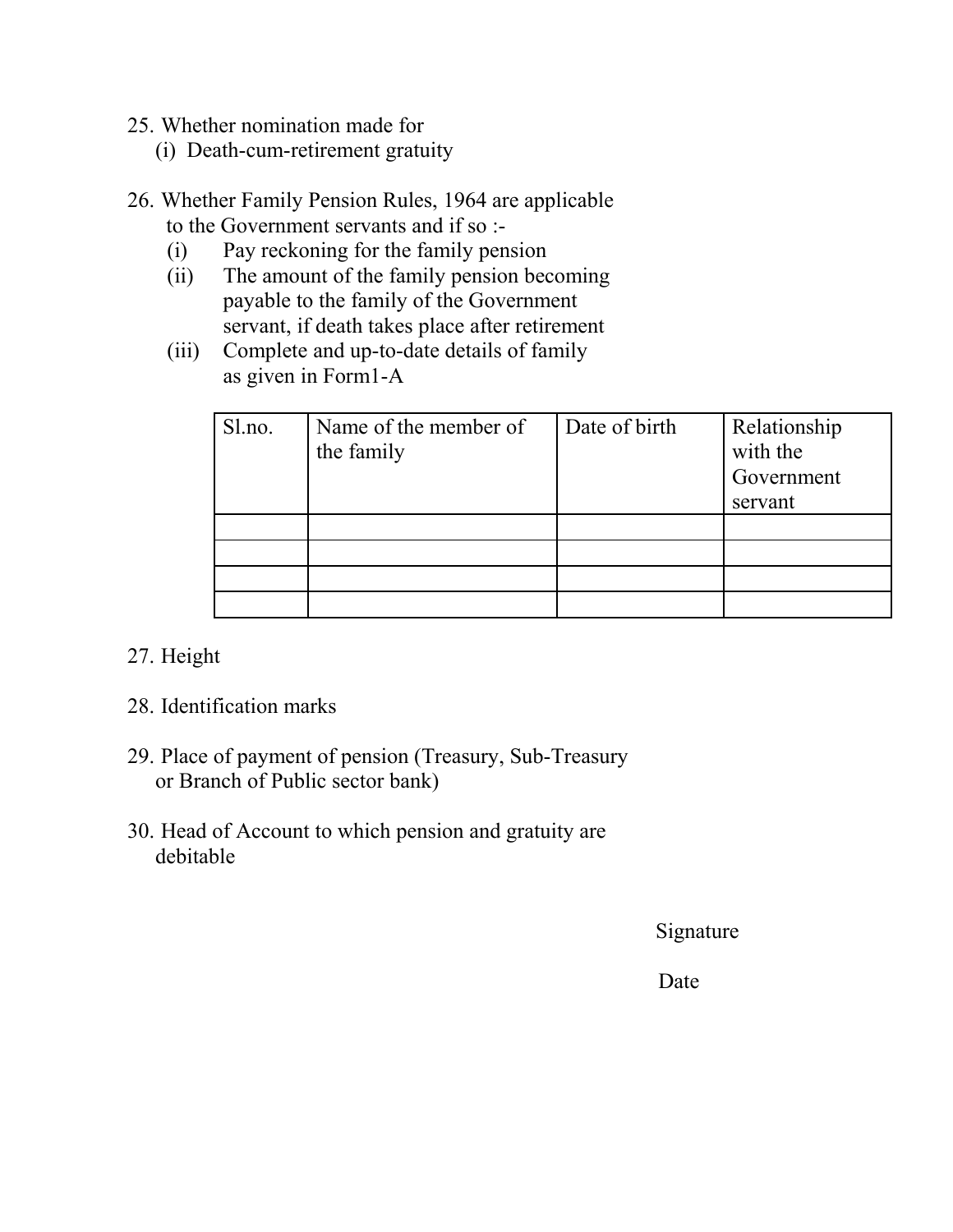- 25. Whether nomination made for
	- (i) Death-cum-retirement gratuity
- 26. Whether Family Pension Rules, 1964 are applicable to the Government servants and if so :-
	- (i) Pay reckoning for the family pension
	- (ii) The amount of the family pension becoming payable to the family of the Government servant, if death takes place after retirement
	- (iii) Complete and up-to-date details of family as given in Form1-A

| Sl.no. | Name of the member of<br>the family | Date of birth | Relationship<br>with the<br>Government<br>servant |
|--------|-------------------------------------|---------------|---------------------------------------------------|
|        |                                     |               |                                                   |
|        |                                     |               |                                                   |
|        |                                     |               |                                                   |
|        |                                     |               |                                                   |

# 27. Height

- 28. Identification marks
- 29. Place of payment of pension (Treasury, Sub-Treasury or Branch of Public sector bank)
- 30. Head of Account to which pension and gratuity are debitable

Signature

Date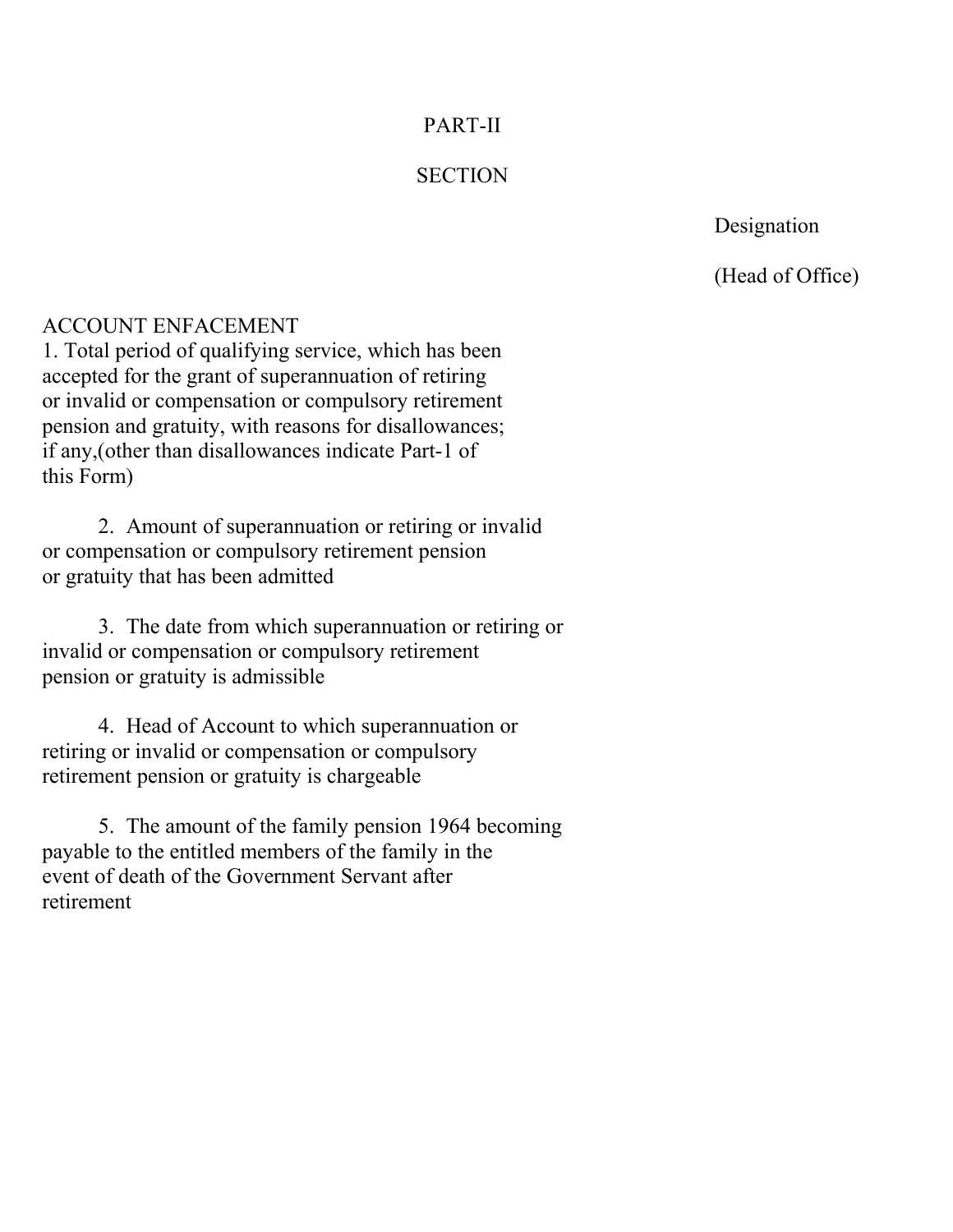## PART-II

### **SECTION**

Designation

(Head of Office)

#### ACCOUNT ENFACEMENT

1. Total period of qualifying service, which has been accepted for the grant of superannuation of retiring or invalid or compensation or compulsory retirement pension and gratuity, with reasons for disallowances; if any,(other than disallowances indicate Part-1 of this Form)

2. Amount of superannuation or retiring or invalid or compensation or compulsory retirement pension or gratuity that has been admitted

3. The date from which superannuation or retiring or invalid or compensation or compulsory retirement pension or gratuity is admissible

4. Head of Account to which superannuation or retiring or invalid or compensation or compulsory retirement pension or gratuity is chargeable

5. The amount of the family pension 1964 becoming payable to the entitled members of the family in the event of death of the Government Servant after retirement